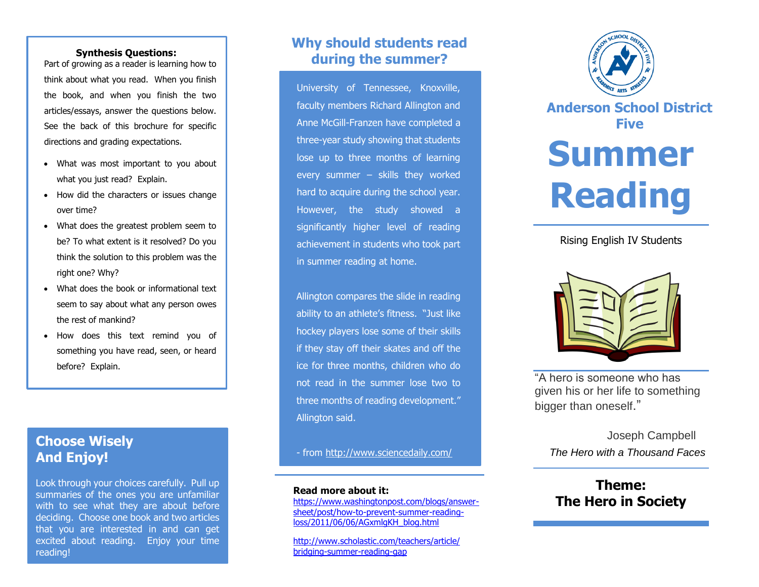#### **Synthesis Questions:**

Part of growing as a reader is learning how to think about what you read. When you finish the book, and when you finish the two articles/essays, answer the questions below. See the back of this brochure for specific directions and grading expectations.

- What was most important to you about what you just read? Explain.
- How did the characters or issues change over time?
- What does the greatest problem seem to be? To what extent is it resolved? Do you think the solution to this problem was the right one? Why?
- What does the book or informational text seem to say about what any person owes the rest of mankind?
- How does this text remind you of something you have read, seen, or heard before? Explain.

## **Choose Wisely And Enjoy!**

Look through your choices carefully. Pull up summaries of the ones you are unfamiliar with to see what they are about before deciding. Choose one book and two articles that you are interested in and can get excited about reading. Enjoy your time reading!

# **Why should students read during the summer?**

University of Tennessee, Knoxville, faculty members Richard Allington and Anne McGill-Franzen have completed a three-year study showing that students lose up to three months of learning every summer – skills they worked hard to acquire during the school year. However, the study showed a significantly higher level of reading achievement in students who took part in summer reading at home.

Allington compares the slide in reading ability to an athlete's fitness. "Just like hockey players lose some of their skills if they stay off their skates and off the ice for three months, children who do not read in the summer lose two to three months of reading development." Allington said.

- from<http://www.sciencedaily.com/>

#### **Read more about it:**

[https://www.washingtonpost.com/blogs/answer](https://www.washingtonpost.com/blogs/answer-sheet/post/how-to-prevent-summer-reading-loss/2011/06/06/AGxmlgKH_blog.html)[sheet/post/how-to-prevent-summer-reading](https://www.washingtonpost.com/blogs/answer-sheet/post/how-to-prevent-summer-reading-loss/2011/06/06/AGxmlgKH_blog.html)[loss/2011/06/06/AGxmlgKH\\_blog.html](https://www.washingtonpost.com/blogs/answer-sheet/post/how-to-prevent-summer-reading-loss/2011/06/06/AGxmlgKH_blog.html)

[http://www.scholastic.com/teachers/article/](http://www.scholastic.com/teachers/article/%20bridging-summer-reading-gap)  [bridging-summer-reading-gap](http://www.scholastic.com/teachers/article/%20bridging-summer-reading-gap)



**Anderson School District Five**

# **Summer Reading**

## Rising English IV Students



"A hero is someone who has given his or her life to something bigger than oneself."

> Joseph Campbell  *The Hero with a Thousand Faces*

# **Theme: The Hero in Society**